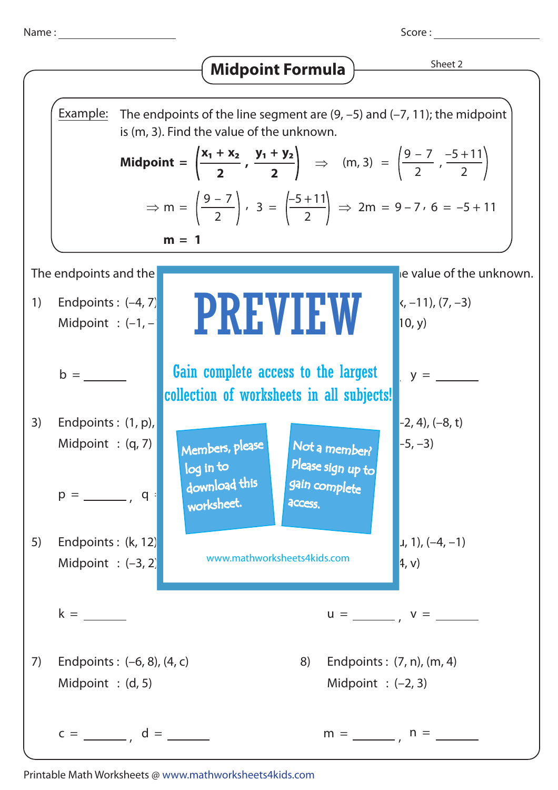